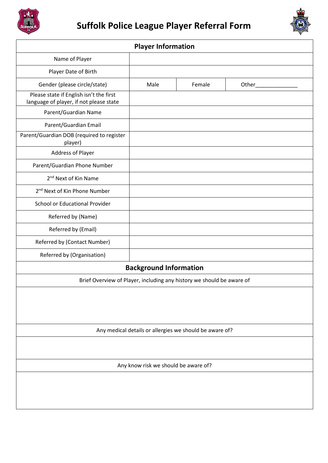



| <b>Player Information</b>                                                          |      |        |       |  |
|------------------------------------------------------------------------------------|------|--------|-------|--|
| Name of Player                                                                     |      |        |       |  |
| Player Date of Birth                                                               |      |        |       |  |
| Gender (please circle/state)                                                       | Male | Female | Other |  |
| Please state if English isn't the first<br>language of player, if not please state |      |        |       |  |
| Parent/Guardian Name                                                               |      |        |       |  |
| Parent/Guardian Email                                                              |      |        |       |  |
| Parent/Guardian DOB (required to register<br>player)                               |      |        |       |  |
| Address of Player                                                                  |      |        |       |  |
| Parent/Guardian Phone Number                                                       |      |        |       |  |
| 2 <sup>nd</sup> Next of Kin Name                                                   |      |        |       |  |
| 2 <sup>nd</sup> Next of Kin Phone Number                                           |      |        |       |  |
| School or Educational Provider                                                     |      |        |       |  |
| Referred by (Name)                                                                 |      |        |       |  |
| Referred by (Email)                                                                |      |        |       |  |
| Referred by (Contact Number)                                                       |      |        |       |  |
| Referred by (Organisation)                                                         |      |        |       |  |
| <b>Background Information</b>                                                      |      |        |       |  |
| Brief Overview of Player, including any history we should be aware of              |      |        |       |  |
|                                                                                    |      |        |       |  |
|                                                                                    |      |        |       |  |
|                                                                                    |      |        |       |  |
| Any medical details or allergies we should be aware of?                            |      |        |       |  |
|                                                                                    |      |        |       |  |
|                                                                                    |      |        |       |  |
| Any know risk we should be aware of?                                               |      |        |       |  |
|                                                                                    |      |        |       |  |
|                                                                                    |      |        |       |  |
|                                                                                    |      |        |       |  |